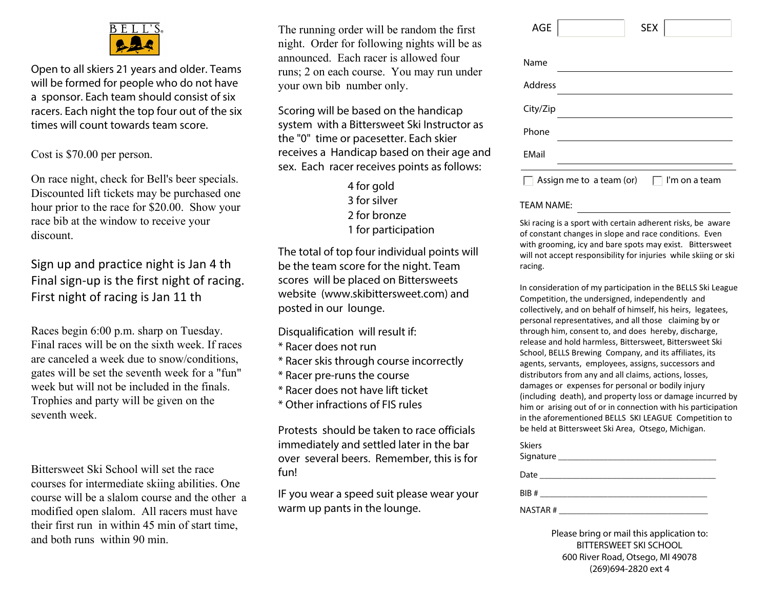

Open to all skiers 21 years and older. Teams will be formed for people who do not have a sponsor. Each team should consist of six racers. Each night the top four out of the six times will count towards team score.

Cost is \$70.00 per person.

On race night, check for Bell's beer specials. Discounted lift tickets may be purchased one hour prior to the race for \$20.00. Show your race bib at the window to receive your discount.

Sign up and practice night is Jan 4 th Final sign-up is the first night of racing. First night of racing is Jan 11 th

Races begin 6:00 p.m. sharp on Tuesday. Final races will be on the sixth week. If races are canceled a week due to snow/conditions, gates will be set the seventh week for a "fun" week but will not be included in the finals. Trophies and party will be given on the seventh week.

Bittersweet Ski School will set the race courses for intermediate skiing abilities. One course will be a slalom course and the other a modified open slalom. All racers must have their first run in within 45 min of start time, and both runs within 90 min.

The running order will be random the first night. Order for following nights will be as announced. Each racer is allowed four runs; 2 on each course. You may run under your own bib number only.

Scoring will be based on the handicap system with a Bittersweet Ski Instructor as the "0" time or pacesetter. Each skier receives a Handicap based on their age and sex. Each racer receives points as follows:

> 4 for gold 3 for silver 2 for bronze 1 for participation

The total of top four individual points will be the team score for the night. Team scores will be placed on Bittersweets website (www.skibittersweet.com) and posted in our lounge.

Disqualification will result if:

- \* Racer does not run
- \* Racer skis through course incorrectly
- \* Racer pre-runs the course
- \* Racer does not have lift ticket
- \* Other infractions of FIS rules

Protests should be taken to race officials immediately and settled later in the bar over several beers. Remember, this is for fun!

IF you wear a speed suit please wear your warm up pants in the lounge.

| AGE          |                          | <b>SEX</b> |               |
|--------------|--------------------------|------------|---------------|
| Name         |                          |            |               |
| Address      |                          |            |               |
| City/Zip     |                          |            |               |
| Phone        |                          |            |               |
| <b>EMail</b> |                          |            |               |
|              | Assign me to a team (or) |            | I'm on a team |

## TEAM NAME:

Ski racing is a sport with certain adherent risks, be aware of constant changes in slope and race conditions. Even with grooming, icy and bare spots may exist. Bittersweet will not accept responsibility for injuries while skiing or ski racing.

In consideration of my participation in the BELLS Ski League Competition, the undersigned, independently and collectively, and on behalf of himself, his heirs, legatees, personal representatives, and all those claiming by or through him, consent to, and does hereby, discharge, release and hold harmless, Bittersweet, Bittersweet Ski School, BELLS Brewing Company, and its affiliates, its agents, servants, employees, assigns, successors and distributors from any and all claims, actions, losses, damages or expenses for personal or bodily injury (including death), and property loss or damage incurred by him or arising out of or in connection with his participation in the aforementioned BELLS SKI LEAGUE Competition to be held at Bittersweet Ski Area, Otsego, Michigan.

| <b>Skiers</b> |  |  |
|---------------|--|--|
|               |  |  |
|               |  |  |
|               |  |  |
|               |  |  |
|               |  |  |
|               |  |  |
| NASTAR#       |  |  |

Please bring or mail this application to: BITTERSWEET SKI SCHOOL 600 River Road, Otsego, MI 49078 (269)694-2820 ext 4